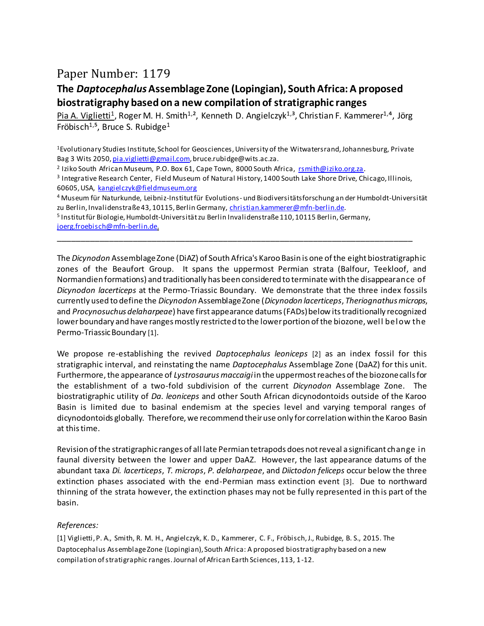## Paper Number: 1179

## **The** *Daptocephalus***Assemblage Zone (Lopingian), South Africa: A proposed biostratigraphy based on a new compilation of stratigraphic ranges**

Pia A. Viglietti<sup>1</sup>, Roger M. H. Smith<sup>1,2</sup>, Kenneth D. Angielczyk<sup>1,3</sup>, Christian F. Kammerer<sup>1,4</sup>, Jörg Fröbisch<sup>1,5</sup>, Bruce S. Rubidge<sup>1</sup>

<sup>1</sup>Evolutionary Studies Institute, School for Geosciences, University of the Witwatersrand, Johannesburg, Private Bag 3 Wits 2050[, pia.viglietti@gmail.com](mailto:pia.viglietti@gmail.com), bruce.rubidge@wits.ac.za.

<sup>2</sup> Iziko South African Museum, P.O. Box 61, Cape Town, 8000 South Africa, <u>rsmith@iziko.org.za</u>.

3 Integrative Research Center, Field Museum of Natural History, 1400 South Lake Shore Drive, Chicago, Illinois, 60605, USA, [kangielczyk@fieldmuseum.org](mailto:kangielczyk@fieldmuseum.org)

\_\_\_\_\_\_\_\_\_\_\_\_\_\_\_\_\_\_\_\_\_\_\_\_\_\_\_\_\_\_\_\_\_\_\_\_\_\_\_\_\_\_\_\_\_\_\_\_\_\_\_\_\_\_\_\_\_\_\_\_\_\_\_\_\_\_\_\_\_\_\_\_\_\_\_

<sup>4</sup>Museum für Naturkunde, Leibniz-Institut für Evolutions- und Biodiversitätsforschung an der Humboldt-Universität zu Berlin, Invalidenstraße 43, 10115, Berlin Germany, [christian.kammerer@mfn-berlin.de.](mailto:Christian.Kammerer@mfn-berlin.de)

<sup>5</sup>Institut für Biologie, Humboldt-Universität zu Berlin Invalidenstraße 110, 10115 Berlin, Germany, [joerg.froebisch@mfn-berlin.de.](mailto:joerg.froebisch@mfn-berlin.de)

The *Dicynodon* Assemblage Zone (DiAZ) of South Africa's Karoo Basin is one of the eight biostratigraphic zones of the Beaufort Group. It spans the uppermost Permian strata (Balfour, Teekloof, and Normandien formations) and traditionally has been considered to terminate with the disappearance of *Dicynodon lacerticeps* at the Permo-Triassic Boundary. We demonstrate that the three index fossils currently used to define the *Dicynodon* Assemblage Zone (*Dicynodon lacerticeps*, *Theriognathus microps*, and *Procynosuchus delaharpeae*) have first appearance datums (FADs) below its traditionally recognized lower boundary and have ranges mostly restricted to the lower portion of the biozone, well below the Permo-Triassic Boundary [1].

We propose re-establishing the revived *Daptocephalus leoniceps* [2] as an index fossil for this stratigraphic interval, and reinstating the name *Daptocephalus* Assemblage Zone (DaAZ) for this unit. Furthermore, the appearance of *Lystrosaurus maccaigi* in the uppermost reaches of the biozone calls for the establishment of a two-fold subdivision of the current *Dicynodon* Assemblage Zone. The biostratigraphic utility of *Da. leoniceps* and other South African dicynodontoids outside of the Karoo Basin is limited due to basinal endemism at the species level and varying temporal ranges of dicynodontoids globally. Therefore, we recommend their use only for correlation within the Karoo Basin at this time.

Revision of the stratigraphic ranges of all late Permian tetrapods does not reveal a significant change in faunal diversity between the lower and upper DaAZ. However, the last appearance datums of the abundant taxa *Di. lacerticeps*, *T. microps*, *P. delaharpeae*, and *Diictodon feliceps* occur below the three extinction phases associated with the end-Permian mass extinction event [3]. Due to northward thinning of the strata however, the extinction phases may not be fully represented in this part of the basin.

## *References:*

[1] Viglietti, P. A., Smith, R. M. H., Angielczyk, K. D., Kammerer, C. F., Fröbisch, J., Rubidge, B. S., 2015. The Daptocephalus Assemblage Zone (Lopingian), South Africa: A proposed biostratigraphy based on a new compilation of stratigraphic ranges. Journal of African Earth Sciences, 113, 1-12.